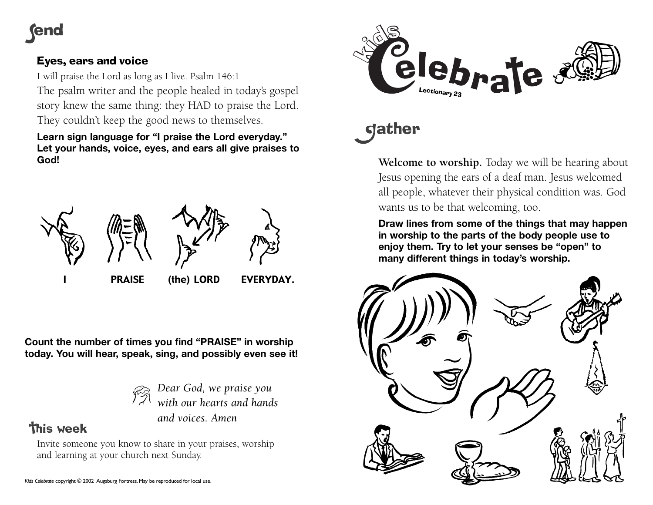# lend

### Eyes, ears and voice

I will praise the Lord as long as I live. Psalm 146:1 The psalm writer and the people healed in today's gospel story knew the same thing: they HAD to praise the Lord. They couldn't keep the good news to themselves.

**Learn sign language for "I praise the Lord everyday." Let your hands, voice, eyes, and ears all give praises to God!**



*hearts and hands* 

**Count the number of times you find "PRAISE" in worship today. You will hear, speak, sing, and possibly even see it!**

*Dear God, we praise you and voices. Amen*

## **This week**

Invite someone you know to share in your praises, worship and learning at your church next Sunday.



# **gather**

**Welcome to worship.** Today we will be hearing about Jesus opening the ears of a deaf man. Jesus welcomed all people, whatever their physical condition was. God wants us to be that welcoming, too.

**Draw lines from some of the things that may happen in worship to the parts of the body people use to enjoy them. Try to let your senses be "open" to many different things in today's worship.**